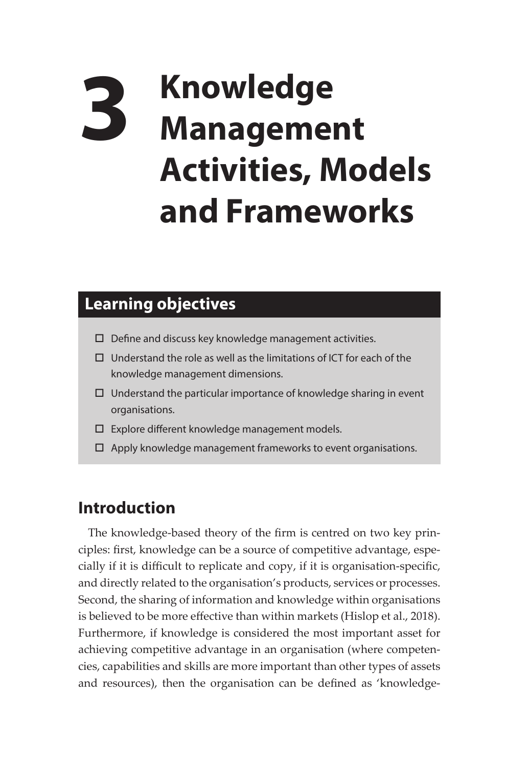## **3 Knowledge Management Activities, Models and Frameworks**

## **Learning objectives**

- $\square$  Define and discuss key knowledge management activities.
- $\Box$  Understand the role as well as the limitations of ICT for each of the knowledge management dimensions.
- $\Box$  Understand the particular importance of knowledge sharing in event organisations.
- $\square$  Explore different knowledge management models.
- $\Box$  Apply knowledge management frameworks to event organisations.

## **Introduction**

The knowledge-based theory of the firm is centred on two key principles: first, knowledge can be a source of competitive advantage, especially if it is difficult to replicate and copy, if it is organisation-specific, and directly related to the organisation's products, services or processes. Second, the sharing of information and knowledge within organisations is believed to be more effective than within markets (Hislop et al., 2018). Furthermore, if knowledge is considered the most important asset for achieving competitive advantage in an organisation (where competencies, capabilities and skills are more important than other types of assets and resources), then the organisation can be defined as 'knowledge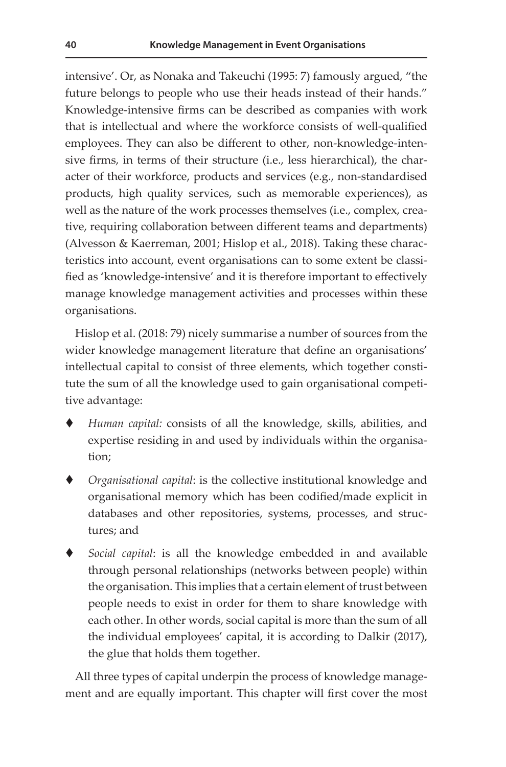intensive'. Or, as Nonaka and Takeuchi (1995: 7) famously argued, "the future belongs to people who use their heads instead of their hands." Knowledge-intensive firms can be described as companies with work that is intellectual and where the workforce consists of well-qualified employees. They can also be different to other, non-knowledge-intensive firms, in terms of their structure (i.e., less hierarchical), the character of their workforce, products and services (e.g., non-standardised products, high quality services, such as memorable experiences), as well as the nature of the work processes themselves (i.e., complex, creative, requiring collaboration between different teams and departments) (Alvesson & Kaerreman, 2001; Hislop et al., 2018). Taking these characteristics into account, event organisations can to some extent be classified as 'knowledge-intensive' and it is therefore important to effectively manage knowledge management activities and processes within these organisations.

Hislop et al. (2018: 79) nicely summarise a number of sources from the wider knowledge management literature that define an organisations' intellectual capital to consist of three elements, which together constitute the sum of all the knowledge used to gain organisational competitive advantage:

- *Human capital:* consists of all the knowledge, skills, abilities, and expertise residing in and used by individuals within the organisation;
- *Organisational capital*: is the collective institutional knowledge and organisational memory which has been codified/made explicit in databases and other repositories, systems, processes, and structures; and
- *Social capital*: is all the knowledge embedded in and available through personal relationships (networks between people) within the organisation. This implies that a certain element of trust between people needs to exist in order for them to share knowledge with each other. In other words, social capital is more than the sum of all the individual employees' capital, it is according to Dalkir (2017), the glue that holds them together.

All three types of capital underpin the process of knowledge management and are equally important. This chapter will first cover the most